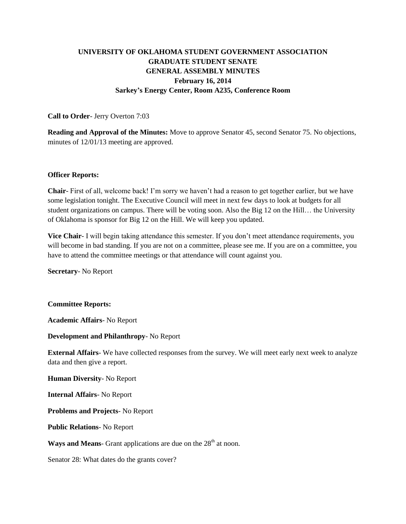# **UNIVERSITY OF OKLAHOMA STUDENT GOVERNMENT ASSOCIATION GRADUATE STUDENT SENATE GENERAL ASSEMBLY MINUTES February 16, 2014 Sarkey's Energy Center, Room A235, Conference Room**

## **Call to Order**- Jerry Overton 7:03

**Reading and Approval of the Minutes:** Move to approve Senator 45, second Senator 75. No objections, minutes of 12/01/13 meeting are approved.

#### **Officer Reports:**

**Chair**- First of all, welcome back! I'm sorry we haven't had a reason to get together earlier, but we have some legislation tonight. The Executive Council will meet in next few days to look at budgets for all student organizations on campus. There will be voting soon. Also the Big 12 on the Hill… the University of Oklahoma is sponsor for Big 12 on the Hill. We will keep you updated.

**Vice Chair**- I will begin taking attendance this semester. If you don't meet attendance requirements, you will become in bad standing. If you are not on a committee, please see me. If you are on a committee, you have to attend the committee meetings or that attendance will count against you.

**Secretary**- No Report

**Committee Reports:** 

**Academic Affairs**- No Report

#### **Development and Philanthropy**- No Report

**External Affairs**- We have collected responses from the survey. We will meet early next week to analyze data and then give a report.

**Human Diversity**- No Report

**Internal Affairs**- No Report

**Problems and Projects**- No Report

**Public Relations**- No Report

Ways and Means- Grant applications are due on the 28<sup>th</sup> at noon.

Senator 28: What dates do the grants cover?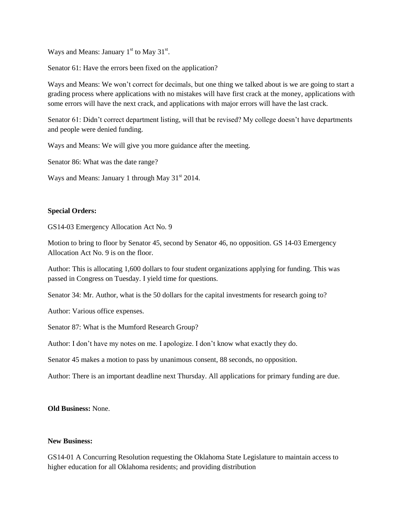Ways and Means: January  $1<sup>st</sup>$  to May 31 $<sup>st</sup>$ .</sup>

Senator 61: Have the errors been fixed on the application?

Ways and Means: We won't correct for decimals, but one thing we talked about is we are going to start a grading process where applications with no mistakes will have first crack at the money, applications with some errors will have the next crack, and applications with major errors will have the last crack.

Senator 61: Didn't correct department listing, will that be revised? My college doesn't have departments and people were denied funding.

Ways and Means: We will give you more guidance after the meeting.

Senator 86: What was the date range?

Ways and Means: January 1 through May  $31<sup>st</sup> 2014$ .

## **Special Orders:**

GS14-03 Emergency Allocation Act No. 9

Motion to bring to floor by Senator 45, second by Senator 46, no opposition. GS 14-03 Emergency Allocation Act No. 9 is on the floor.

Author: This is allocating 1,600 dollars to four student organizations applying for funding. This was passed in Congress on Tuesday. I yield time for questions.

Senator 34: Mr. Author, what is the 50 dollars for the capital investments for research going to?

Author: Various office expenses.

Senator 87: What is the Mumford Research Group?

Author: I don't have my notes on me. I apologize. I don't know what exactly they do.

Senator 45 makes a motion to pass by unanimous consent, 88 seconds, no opposition.

Author: There is an important deadline next Thursday. All applications for primary funding are due.

**Old Business:** None.

#### **New Business:**

GS14-01 A Concurring Resolution requesting the Oklahoma State Legislature to maintain access to higher education for all Oklahoma residents; and providing distribution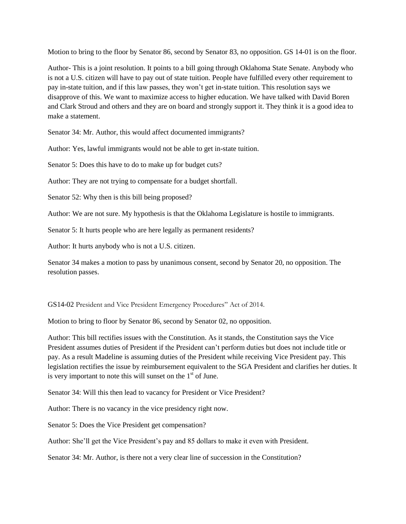Motion to bring to the floor by Senator 86, second by Senator 83, no opposition. GS 14-01 is on the floor.

Author- This is a joint resolution. It points to a bill going through Oklahoma State Senate. Anybody who is not a U.S. citizen will have to pay out of state tuition. People have fulfilled every other requirement to pay in-state tuition, and if this law passes, they won't get in-state tuition. This resolution says we disapprove of this. We want to maximize access to higher education. We have talked with David Boren and Clark Stroud and others and they are on board and strongly support it. They think it is a good idea to make a statement.

Senator 34: Mr. Author, this would affect documented immigrants?

Author: Yes, lawful immigrants would not be able to get in-state tuition.

Senator 5: Does this have to do to make up for budget cuts?

Author: They are not trying to compensate for a budget shortfall.

Senator 52: Why then is this bill being proposed?

Author: We are not sure. My hypothesis is that the Oklahoma Legislature is hostile to immigrants.

Senator 5: It hurts people who are here legally as permanent residents?

Author: It hurts anybody who is not a U.S. citizen.

Senator 34 makes a motion to pass by unanimous consent, second by Senator 20, no opposition. The resolution passes.

GS14-02 President and Vice President Emergency Procedures" Act of 2014.

Motion to bring to floor by Senator 86, second by Senator 02, no opposition.

Author: This bill rectifies issues with the Constitution. As it stands, the Constitution says the Vice President assumes duties of President if the President can't perform duties but does not include title or pay. As a result Madeline is assuming duties of the President while receiving Vice President pay. This legislation rectifies the issue by reimbursement equivalent to the SGA President and clarifies her duties. It is very important to note this will sunset on the  $1<sup>st</sup>$  of June.

Senator 34: Will this then lead to vacancy for President or Vice President?

Author: There is no vacancy in the vice presidency right now.

Senator 5: Does the Vice President get compensation?

Author: She'll get the Vice President's pay and 85 dollars to make it even with President.

Senator 34: Mr. Author, is there not a very clear line of succession in the Constitution?